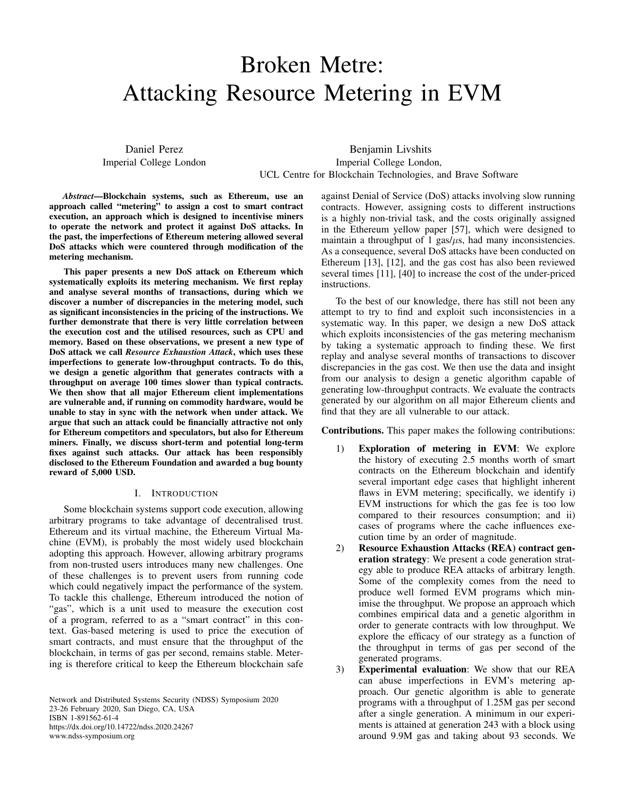# Broken Metre: Attacking Resource Metering in EVM

Daniel Perez Imperial College London

Benjamin Livshits Imperial College London, UCL Centre for Blockchain Technologies, and Brave Software

*Abstract*—Blockchain systems, such as Ethereum, use an approach called "metering" to assign a cost to smart contract execution, an approach which is designed to incentivise miners to operate the network and protect it against DoS attacks. In the past, the imperfections of Ethereum metering allowed several DoS attacks which were countered through modification of the metering mechanism.

This paper presents a new DoS attack on Ethereum which systematically exploits its metering mechanism. We first replay and analyse several months of transactions, during which we discover a number of discrepancies in the metering model, such as significant inconsistencies in the pricing of the instructions. We further demonstrate that there is very little correlation between the execution cost and the utilised resources, such as CPU and memory. Based on these observations, we present a new type of DoS attack we call *Resource Exhaustion Attack*, which uses these imperfections to generate low-throughput contracts. To do this, we design a genetic algorithm that generates contracts with a throughput on average 100 times slower than typical contracts. We then show that all major Ethereum client implementations are vulnerable and, if running on commodity hardware, would be unable to stay in sync with the network when under attack. We argue that such an attack could be financially attractive not only for Ethereum competitors and speculators, but also for Ethereum miners. Finally, we discuss short-term and potential long-term fixes against such attacks. Our attack has been responsibly disclosed to the Ethereum Foundation and awarded a bug bounty reward of 5,000 USD.

## I. INTRODUCTION

<span id="page-0-0"></span>Some blockchain systems support code execution, allowing arbitrary programs to take advantage of decentralised trust. Ethereum and its virtual machine, the Ethereum Virtual Machine (EVM), is probably the most widely used blockchain adopting this approach. However, allowing arbitrary programs from non-trusted users introduces many new challenges. One of these challenges is to prevent users from running code which could negatively impact the performance of the system. To tackle this challenge, Ethereum introduced the notion of "gas", which is a unit used to measure the execution cost of a program, referred to as a "smart contract" in this context. Gas-based metering is used to price the execution of smart contracts, and must ensure that the throughput of the blockchain, in terms of gas per second, remains stable. Metering is therefore critical to keep the Ethereum blockchain safe

Network and Distributed Systems Security (NDSS) Symposium 2020 23-26 February 2020, San Diego, CA, USA ISBN 1-891562-61-4 https://dx.doi.org/10.14722/ndss.2020.24267 www.ndss-symposium.org

against Denial of Service (DoS) attacks involving slow running contracts. However, assigning costs to different instructions is a highly non-trivial task, and the costs originally assigned in the Ethereum yellow paper [\[57\]](#page-14-0), which were designed to maintain a throughput of 1 gas/ $\mu$ s, had many inconsistencies. As a consequence, several DoS attacks have been conducted on Ethereum [\[13\]](#page-13-0), [\[12\]](#page-13-1), and the gas cost has also been reviewed several times [\[11\]](#page-13-2), [\[40\]](#page-13-3) to increase the cost of the under-priced instructions.

To the best of our knowledge, there has still not been any attempt to try to find and exploit such inconsistencies in a systematic way. In this paper, we design a new DoS attack which exploits inconsistencies of the gas metering mechanism by taking a systematic approach to finding these. We first replay and analyse several months of transactions to discover discrepancies in the gas cost. We then use the data and insight from our analysis to design a genetic algorithm capable of generating low-throughput contracts. We evaluate the contracts generated by our algorithm on all major Ethereum clients and find that they are all vulnerable to our attack.

Contributions. This paper makes the following contributions:

- 1) Exploration of metering in EVM: We explore the history of executing 2.5 months worth of smart contracts on the Ethereum blockchain and identify several important edge cases that highlight inherent flaws in EVM metering; specifically, we identify i) EVM instructions for which the gas fee is too low compared to their resources consumption; and ii) cases of programs where the cache influences execution time by an order of magnitude.
- 2) Resource Exhaustion Attacks (REA) contract generation strategy: We present a code generation strategy able to produce REA attacks of arbitrary length. Some of the complexity comes from the need to produce well formed EVM programs which minimise the throughput. We propose an approach which combines empirical data and a genetic algorithm in order to generate contracts with low throughput. We explore the efficacy of our strategy as a function of the throughput in terms of gas per second of the generated programs.
- 3) Experimental evaluation: We show that our REA can abuse imperfections in EVM's metering approach. Our genetic algorithm is able to generate programs with a throughput of 1.25M gas per second after a single generation. A minimum in our experiments is attained at generation 243 with a block using around 9.9M gas and taking about 93 seconds. We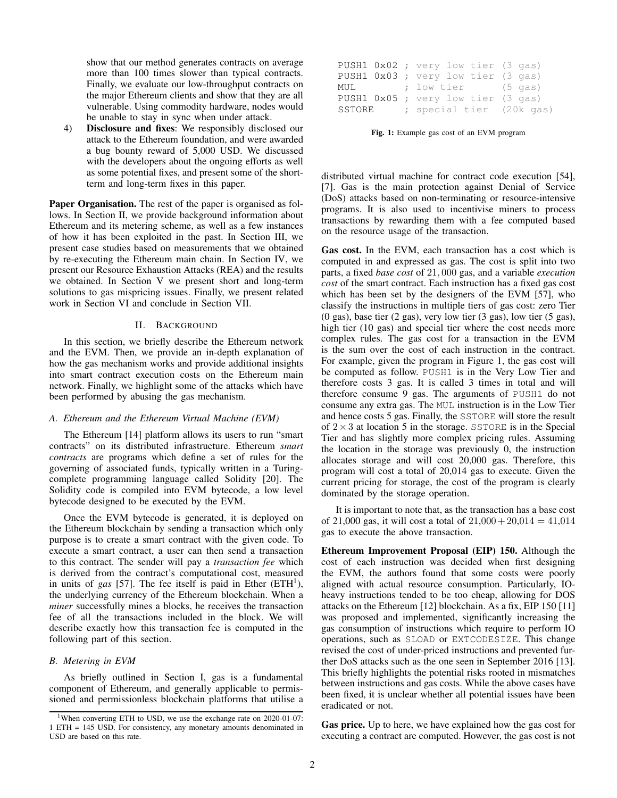show that our method generates contracts on average more than 100 times slower than typical contracts. Finally, we evaluate our low-throughput contracts on the major Ethereum clients and show that they are all vulnerable. Using commodity hardware, nodes would be unable to stay in sync when under attack.

4) Disclosure and fixes: We responsibly disclosed our attack to the Ethereum foundation, and were awarded a bug bounty reward of 5,000 USD. We discussed with the developers about the ongoing efforts as well as some potential fixes, and present some of the shortterm and long-term fixes in this paper.

Paper Organisation. The rest of the paper is organised as follows. In Section [II,](#page-1-0) we provide background information about Ethereum and its metering scheme, as well as a few instances of how it has been exploited in the past. In Section [III,](#page-3-0) we present case studies based on measurements that we obtained by re-executing the Ethereum main chain. In Section [IV,](#page-6-0) we present our Resource Exhaustion Attacks (REA) and the results we obtained. In Section [V](#page-11-0) we present short and long-term solutions to gas mispricing issues. Finally, we present related work in Section [VI](#page-11-1) and conclude in Section [VII.](#page-12-0)

## II. BACKGROUND

<span id="page-1-0"></span>In this section, we briefly describe the Ethereum network and the EVM. Then, we provide an in-depth explanation of how the gas mechanism works and provide additional insights into smart contract execution costs on the Ethereum main network. Finally, we highlight some of the attacks which have been performed by abusing the gas mechanism.

## *A. Ethereum and the Ethereum Virtual Machine (EVM)*

The Ethereum [\[14\]](#page-13-4) platform allows its users to run "smart contracts" on its distributed infrastructure. Ethereum *smart contracts* are programs which define a set of rules for the governing of associated funds, typically written in a Turingcomplete programming language called Solidity [\[20\]](#page-13-5). The Solidity code is compiled into EVM bytecode, a low level bytecode designed to be executed by the EVM.

Once the EVM bytecode is generated, it is deployed on the Ethereum blockchain by sending a transaction which only purpose is to create a smart contract with the given code. To execute a smart contract, a user can then send a transaction to this contract. The sender will pay a *transaction fee* which is derived from the contract's computational cost, measured in units of *gas* [\[57\]](#page-14-0). The fee itself is paid in Ether  $(ETH<sup>1</sup>)$  $(ETH<sup>1</sup>)$  $(ETH<sup>1</sup>)$ , the underlying currency of the Ethereum blockchain. When a *miner* successfully mines a blocks, he receives the transaction fee of all the transactions included in the block. We will describe exactly how this transaction fee is computed in the following part of this section.

## *B. Metering in EVM*

As briefly outlined in Section [I,](#page-0-0) gas is a fundamental component of Ethereum, and generally applicable to permissioned and permissionless blockchain platforms that utilise a

<span id="page-1-2"></span>

|  | PUSH1 0x02 ; very low tier (3 gas) |
|--|------------------------------------|
|  | PUSH1 0x03 ; very low tier (3 gas) |
|  | MUL ; low tier (5 gas)             |
|  | PUSH1 0x05 ; very low tier (3 gas) |
|  | SSTORE ; special tier (20k gas)    |

Fig. 1: Example gas cost of an EVM program

distributed virtual machine for contract code execution [\[54\]](#page-14-1), [\[7\]](#page-13-6). Gas is the main protection against Denial of Service (DoS) attacks based on non-terminating or resource-intensive programs. It is also used to incentivise miners to process transactions by rewarding them with a fee computed based on the resource usage of the transaction.

Gas cost. In the EVM, each transaction has a cost which is computed in and expressed as gas. The cost is split into two parts, a fixed *base cost* of 21, 000 gas, and a variable *execution cost* of the smart contract. Each instruction has a fixed gas cost which has been set by the designers of the EVM [\[57\]](#page-14-0), who classify the instructions in multiple tiers of gas cost: zero Tier (0 gas), base tier (2 gas), very low tier (3 gas), low tier (5 gas), high tier (10 gas) and special tier where the cost needs more complex rules. The gas cost for a transaction in the EVM is the sum over the cost of each instruction in the contract. For example, given the program in Figure [1,](#page-1-2) the gas cost will be computed as follow. PUSH1 is in the Very Low Tier and therefore costs 3 gas. It is called 3 times in total and will therefore consume 9 gas. The arguments of PUSH1 do not consume any extra gas. The MUL instruction is in the Low Tier and hence costs 5 gas. Finally, the SSTORE will store the result of  $2 \times 3$  at location 5 in the storage. SSTORE is in the Special Tier and has slightly more complex pricing rules. Assuming the location in the storage was previously 0, the instruction allocates storage and will cost 20,000 gas. Therefore, this program will cost a total of 20,014 gas to execute. Given the current pricing for storage, the cost of the program is clearly dominated by the storage operation.

It is important to note that, as the transaction has a base cost of 21,000 gas, it will cost a total of  $21,000 + 20,014 = 41,014$ gas to execute the above transaction.

Ethereum Improvement Proposal (EIP) 150. Although the cost of each instruction was decided when first designing the EVM, the authors found that some costs were poorly aligned with actual resource consumption. Particularly, IOheavy instructions tended to be too cheap, allowing for DOS attacks on the Ethereum [\[12\]](#page-13-1) blockchain. As a fix, EIP 150 [\[11\]](#page-13-2) was proposed and implemented, significantly increasing the gas consumption of instructions which require to perform IO operations, such as SLOAD or EXTCODESIZE. This change revised the cost of under-priced instructions and prevented further DoS attacks such as the one seen in September 2016 [\[13\]](#page-13-0). This briefly highlights the potential risks rooted in mismatches between instructions and gas costs. While the above cases have been fixed, it is unclear whether all potential issues have been eradicated or not.

Gas price. Up to here, we have explained how the gas cost for executing a contract are computed. However, the gas cost is not

<span id="page-1-1"></span><sup>&</sup>lt;sup>1</sup>When converting ETH to USD, we use the exchange rate on  $2020-01-07$ : 1 ETH = 145 USD. For consistency, any monetary amounts denominated in USD are based on this rate.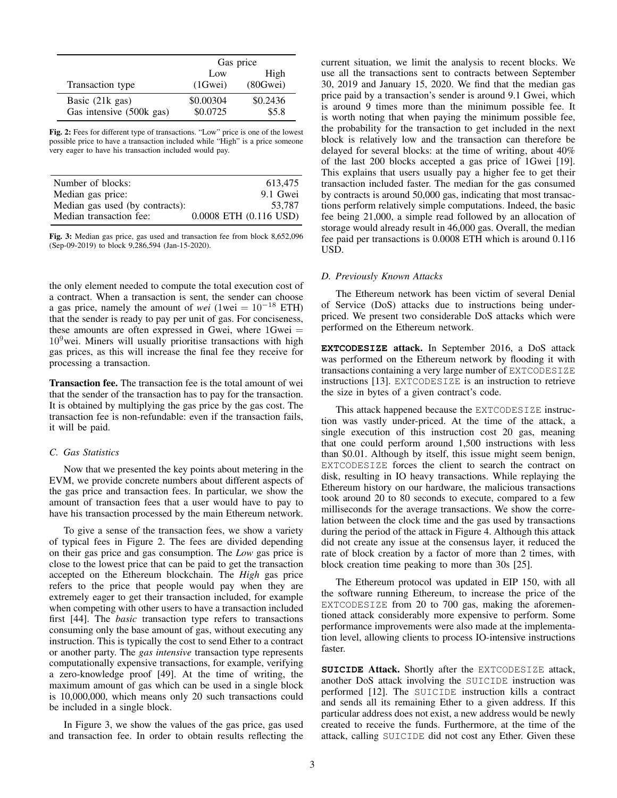<span id="page-2-0"></span>

|                          | Gas price |          |
|--------------------------|-----------|----------|
|                          | Low       | High     |
| Transaction type         | (1Gwei)   | (80Gwei) |
| Basic $(21k$ gas)        | \$0.00304 | \$0.2436 |
| Gas intensive (500k gas) | \$0.0725  | \$5.8    |

Fig. 2: Fees for different type of transactions. "Low" price is one of the lowest possible price to have a transaction included while "High" is a price someone very eager to have his transaction included would pay.

<span id="page-2-1"></span>

| Number of blocks:               | 613.475                    |
|---------------------------------|----------------------------|
| Median gas price:               | 9.1 Gwei                   |
| Median gas used (by contracts): | 53.787                     |
| Median transaction fee:         | $0.0008$ ETH $(0.116$ USD) |

Fig. 3: Median gas price, gas used and transaction fee from block 8,652,096 (Sep-09-2019) to block 9,286,594 (Jan-15-2020).

the only element needed to compute the total execution cost of a contract. When a transaction is sent, the sender can choose a gas price, namely the amount of *wei* (1wei = 10<sup>−</sup><sup>18</sup> ETH) that the sender is ready to pay per unit of gas. For conciseness, these amounts are often expressed in Gwei, where  $1$ Gwei  $=$  $10<sup>9</sup>$ wei. Miners will usually prioritise transactions with high gas prices, as this will increase the final fee they receive for processing a transaction.

Transaction fee. The transaction fee is the total amount of wei that the sender of the transaction has to pay for the transaction. It is obtained by multiplying the gas price by the gas cost. The transaction fee is non-refundable: even if the transaction fails, it will be paid.

# *C. Gas Statistics*

Now that we presented the key points about metering in the EVM, we provide concrete numbers about different aspects of the gas price and transaction fees. In particular, we show the amount of transaction fees that a user would have to pay to have his transaction processed by the main Ethereum network.

To give a sense of the transaction fees, we show a variety of typical fees in Figure [2.](#page-2-0) The fees are divided depending on their gas price and gas consumption. The *Low* gas price is close to the lowest price that can be paid to get the transaction accepted on the Ethereum blockchain. The *High* gas price refers to the price that people would pay when they are extremely eager to get their transaction included, for example when competing with other users to have a transaction included first [\[44\]](#page-14-2). The *basic* transaction type refers to transactions consuming only the base amount of gas, without executing any instruction. This is typically the cost to send Ether to a contract or another party. The *gas intensive* transaction type represents computationally expensive transactions, for example, verifying a zero-knowledge proof [\[49\]](#page-14-3). At the time of writing, the maximum amount of gas which can be used in a single block is 10,000,000, which means only 20 such transactions could be included in a single block.

In Figure [3,](#page-2-1) we show the values of the gas price, gas used and transaction fee. In order to obtain results reflecting the current situation, we limit the analysis to recent blocks. We use all the transactions sent to contracts between September 30, 2019 and January 15, 2020. We find that the median gas price paid by a transaction's sender is around 9.1 Gwei, which is around 9 times more than the minimum possible fee. It is worth noting that when paying the minimum possible fee, the probability for the transaction to get included in the next block is relatively low and the transaction can therefore be delayed for several blocks: at the time of writing, about 40% of the last 200 blocks accepted a gas price of 1Gwei [\[19\]](#page-13-7). This explains that users usually pay a higher fee to get their transaction included faster. The median for the gas consumed by contracts is around 50,000 gas, indicating that most transactions perform relatively simple computations. Indeed, the basic fee being 21,000, a simple read followed by an allocation of storage would already result in 46,000 gas. Overall, the median fee paid per transactions is 0.0008 ETH which is around 0.116 USD.

# *D. Previously Known Attacks*

The Ethereum network has been victim of several Denial of Service (DoS) attacks due to instructions being underpriced. We present two considerable DoS attacks which were performed on the Ethereum network.

**EXTCODESIZE** attack. In September 2016, a DoS attack was performed on the Ethereum network by flooding it with transactions containing a very large number of EXTCODESIZE instructions [\[13\]](#page-13-0). EXTCODESIZE is an instruction to retrieve the size in bytes of a given contract's code.

This attack happened because the EXTCODESIZE instruction was vastly under-priced. At the time of the attack, a single execution of this instruction cost 20 gas, meaning that one could perform around 1,500 instructions with less than \$0.01. Although by itself, this issue might seem benign, EXTCODESIZE forces the client to search the contract on disk, resulting in IO heavy transactions. While replaying the Ethereum history on our hardware, the malicious transactions took around 20 to 80 seconds to execute, compared to a few milliseconds for the average transactions. We show the correlation between the clock time and the gas used by transactions during the period of the attack in Figure [4.](#page-3-1) Although this attack did not create any issue at the consensus layer, it reduced the rate of block creation by a factor of more than 2 times, with block creation time peaking to more than 30s [\[25\]](#page-13-8).

The Ethereum protocol was updated in EIP 150, with all the software running Ethereum, to increase the price of the EXTCODESIZE from 20 to 700 gas, making the aforementioned attack considerably more expensive to perform. Some performance improvements were also made at the implementation level, allowing clients to process IO-intensive instructions faster.

**SUICIDE** Attack. Shortly after the EXTCODESIZE attack, another DoS attack involving the SUICIDE instruction was performed [\[12\]](#page-13-1). The SUICIDE instruction kills a contract and sends all its remaining Ether to a given address. If this particular address does not exist, a new address would be newly created to receive the funds. Furthermore, at the time of the attack, calling SUICIDE did not cost any Ether. Given these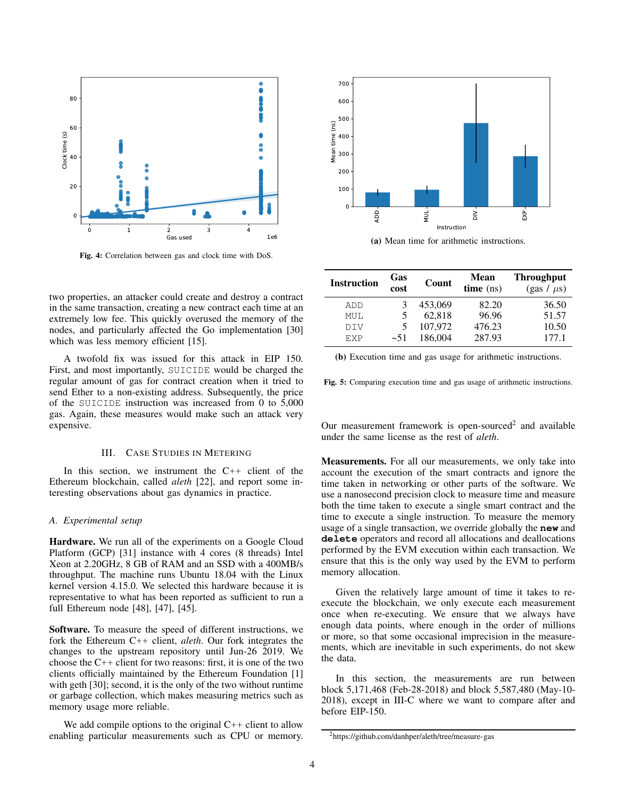<span id="page-3-1"></span>

Fig. 4: Correlation between gas and clock time with DoS.

two properties, an attacker could create and destroy a contract in the same transaction, creating a new contract each time at an extremely low fee. This quickly overused the memory of the nodes, and particularly affected the Go implementation [\[30\]](#page-13-9) which was less memory efficient [\[15\]](#page-13-10).

A twofold fix was issued for this attack in EIP 150. First, and most importantly, SUICIDE would be charged the regular amount of gas for contract creation when it tried to send Ether to a non-existing address. Subsequently, the price of the SUICIDE instruction was increased from 0 to 5,000 gas. Again, these measures would make such an attack very expensive.

## III. CASE STUDIES IN METERING

<span id="page-3-0"></span>In this section, we instrument the  $C_{++}$  client of the Ethereum blockchain, called *aleth* [\[22\]](#page-13-11), and report some interesting observations about gas dynamics in practice.

## *A. Experimental setup*

Hardware. We run all of the experiments on a Google Cloud Platform (GCP) [\[31\]](#page-13-12) instance with 4 cores (8 threads) Intel Xeon at 2.20GHz, 8 GB of RAM and an SSD with a 400MB/s throughput. The machine runs Ubuntu 18.04 with the Linux kernel version 4.15.0. We selected this hardware because it is representative to what has been reported as sufficient to run a full Ethereum node [\[48\]](#page-14-4), [\[47\]](#page-14-5), [\[45\]](#page-14-6).

Software. To measure the speed of different instructions, we fork the Ethereum C++ client, *aleth*. Our fork integrates the changes to the upstream repository until Jun-26 2019. We choose the  $C_{++}$  client for two reasons: first, it is one of the two clients officially maintained by the Ethereum Foundation [\[1\]](#page-13-13) with geth [\[30\]](#page-13-9); second, it is the only of the two without runtime or garbage collection, which makes measuring metrics such as memory usage more reliable. **Enable and the state of the state of the state of the state of the state of the state of the state of the state of the state of the state of the state of the state of the state of the state of the state of the state of t** 

We add compile options to the original  $C++$  client to allow

<span id="page-3-3"></span>

(a) Mean time for arithmetic instructions.

| <b>Instruction</b> | Gas<br>cost | Count   | Mean<br>time (ns) | <b>Throughput</b><br>(gas / $\mu$ s) |
|--------------------|-------------|---------|-------------------|--------------------------------------|
| ADD                |             | 453,069 | 82.20             | 36.50                                |
| MUL                |             | 62,818  | 96.96             | 51.57                                |
| <b>DIV</b>         |             | 107.972 | 476.23            | 10.50                                |
| <b>F.XP</b>        | $-51$       | 186,004 | 287.93            | 177.1                                |

(b) Execution time and gas usage for arithmetic instructions.

Fig. 5: Comparing execution time and gas usage of arithmetic instructions.

Our measurement framework is open-sourced<sup>[2](#page-3-2)</sup> and available under the same license as the rest of *aleth*.

Measurements. For all our measurements, we only take into account the execution of the smart contracts and ignore the time taken in networking or other parts of the software. We use a nanosecond precision clock to measure time and measure both the time taken to execute a single smart contract and the time to execute a single instruction. To measure the memory usage of a single transaction, we override globally the **new** and **delete** operators and record all allocations and deallocations performed by the EVM execution within each transaction. We ensure that this is the only way used by the EVM to perform memory allocation.

Given the relatively large amount of time it takes to reexecute the blockchain, we only execute each measurement once when re-executing. We ensure that we always have enough data points, where enough in the order of millions or more, so that some occasional imprecision in the measurements, which are inevitable in such experiments, do not skew the data.

In this section, the measurements are run between block 5,171,468 (Feb-28-2018) and block 5,587,480 (May-10- 2018), except in [III-C](#page-4-0) where we want to compare after and before EIP-150.

<span id="page-3-2"></span><sup>2</sup><https://github.com/danhper/aleth/tree/measure-gas>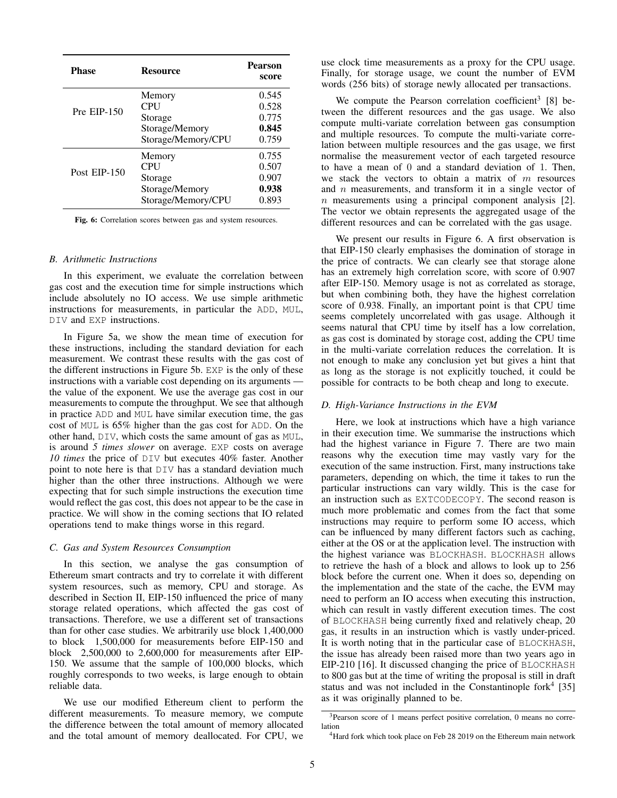<span id="page-4-2"></span>

| <b>Phase</b>   | Resource           | <b>Pearson</b><br>score |
|----------------|--------------------|-------------------------|
|                | Memory             | 0.545                   |
| $Pre EIP-150$  | <b>CPU</b>         | 0.528                   |
|                | Storage            | 0.775                   |
|                | Storage/Memory     | 0.845                   |
|                | Storage/Memory/CPU | 0.759                   |
|                | Memory             | 0.755                   |
| Post $EIP-150$ | <b>CPU</b>         | 0.507                   |
|                | Storage            | 0.907                   |
|                | Storage/Memory     | 0.938                   |
|                | Storage/Memory/CPU | 0.893                   |

Fig. 6: Correlation scores between gas and system resources.

## *B. Arithmetic Instructions*

In this experiment, we evaluate the correlation between gas cost and the execution time for simple instructions which include absolutely no IO access. We use simple arithmetic instructions for measurements, in particular the ADD, MUL, DIV and EXP instructions.

In Figure [5a,](#page-3-3) we show the mean time of execution for these instructions, including the standard deviation for each measurement. We contrast these results with the gas cost of the different instructions in Figure [5b.](#page-3-3) EXP is the only of these instructions with a variable cost depending on its arguments the value of the exponent. We use the average gas cost in our measurements to compute the throughput. We see that although in practice ADD and MUL have similar execution time, the gas cost of MUL is 65% higher than the gas cost for ADD. On the other hand, DIV, which costs the same amount of gas as MUL, is around *5 times slower* on average. EXP costs on average *10 times* the price of DIV but executes 40% faster. Another point to note here is that DIV has a standard deviation much higher than the other three instructions. Although we were expecting that for such simple instructions the execution time would reflect the gas cost, this does not appear to be the case in practice. We will show in the coming sections that IO related operations tend to make things worse in this regard.

## <span id="page-4-0"></span>*C. Gas and System Resources Consumption*

In this section, we analyse the gas consumption of Ethereum smart contracts and try to correlate it with different system resources, such as memory, CPU and storage. As described in Section [II,](#page-1-0) EIP-150 influenced the price of many storage related operations, which affected the gas cost of transactions. Therefore, we use a different set of transactions than for other case studies. We arbitrarily use block 1,400,000 to block 1,500,000 for measurements before EIP-150 and block 2,500,000 to 2,600,000 for measurements after EIP-150. We assume that the sample of 100,000 blocks, which roughly corresponds to two weeks, is large enough to obtain reliable data.

We use our modified Ethereum client to perform the different measurements. To measure memory, we compute the difference between the total amount of memory allocated and the total amount of memory deallocated. For CPU, we use clock time measurements as a proxy for the CPU usage. Finally, for storage usage, we count the number of EVM words (256 bits) of storage newly allocated per transactions.

We compute the Pearson correlation coefficient<sup>[3](#page-4-1)</sup> [\[8\]](#page-13-14) between the different resources and the gas usage. We also compute multi-variate correlation between gas consumption and multiple resources. To compute the multi-variate correlation between multiple resources and the gas usage, we first normalise the measurement vector of each targeted resource to have a mean of 0 and a standard deviation of 1. Then, we stack the vectors to obtain a matrix of  $m$  resources and  $n$  measurements, and transform it in a single vector of  $n$  measurements using a principal component analysis [\[2\]](#page-13-15). The vector we obtain represents the aggregated usage of the different resources and can be correlated with the gas usage.

We present our results in [Figure 6.](#page-4-2) A first observation is that EIP-150 clearly emphasises the domination of storage in the price of contracts. We can clearly see that storage alone has an extremely high correlation score, with score of 0.907 after EIP-150. Memory usage is not as correlated as storage, but when combining both, they have the highest correlation score of 0.938. Finally, an important point is that CPU time seems completely uncorrelated with gas usage. Although it seems natural that CPU time by itself has a low correlation, as gas cost is dominated by storage cost, adding the CPU time in the multi-variate correlation reduces the correlation. It is not enough to make any conclusion yet but gives a hint that as long as the storage is not explicitly touched, it could be possible for contracts to be both cheap and long to execute.

## *D. High-Variance Instructions in the EVM*

Here, we look at instructions which have a high variance in their execution time. We summarise the instructions which had the highest variance in Figure [7.](#page-5-0) There are two main reasons why the execution time may vastly vary for the execution of the same instruction. First, many instructions take parameters, depending on which, the time it takes to run the particular instructions can vary wildly. This is the case for an instruction such as EXTCODECOPY. The second reason is much more problematic and comes from the fact that some instructions may require to perform some IO access, which can be influenced by many different factors such as caching, either at the OS or at the application level. The instruction with the highest variance was BLOCKHASH. BLOCKHASH allows to retrieve the hash of a block and allows to look up to 256 block before the current one. When it does so, depending on the implementation and the state of the cache, the EVM may need to perform an IO access when executing this instruction, which can result in vastly different execution times. The cost of BLOCKHASH being currently fixed and relatively cheap, 20 gas, it results in an instruction which is vastly under-priced. It is worth noting that in the particular case of BLOCKHASH, the issue has already been raised more than two years ago in EIP-210 [\[16\]](#page-13-16). It discussed changing the price of BLOCKHASH to 800 gas but at the time of writing the proposal is still in draft status and was not included in the Constantinople for $k^4$  $k^4$  [\[35\]](#page-13-17) as it was originally planned to be.

<span id="page-4-1"></span><sup>3</sup>Pearson score of 1 means perfect positive correlation, 0 means no correlation

<span id="page-4-3"></span><sup>&</sup>lt;sup>4</sup>Hard fork which took place on Feb 28 2019 on the Ethereum main network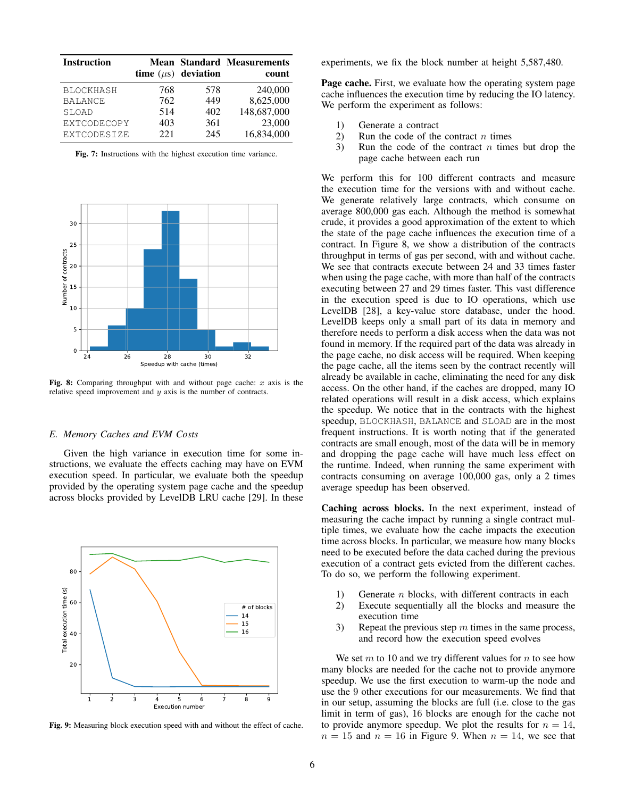<span id="page-5-0"></span>

| <b>Instruction</b>                                                |                          | time $(\mu s)$ deviation | <b>Mean Standard Measurements</b><br>count    |
|-------------------------------------------------------------------|--------------------------|--------------------------|-----------------------------------------------|
| <b>BLOCKHASH</b><br><b>BALANCE</b><br>SLOAD<br><b>EXTCODECOPY</b> | 768<br>762<br>514<br>403 | 578<br>449<br>402<br>361 | 240,000<br>8,625,000<br>148,687,000<br>23,000 |
| EXTCODESIZE                                                       | 22.1                     | 245                      | 16,834,000                                    |

Fig. 7: Instructions with the highest execution time variance.

<span id="page-5-1"></span>

Fig. 8: Comparing throughput with and without page cache:  $x$  axis is the relative speed improvement and  $y$  axis is the number of contracts.

## *E. Memory Caches and EVM Costs*

Given the high variance in execution time for some instructions, we evaluate the effects caching may have on EVM execution speed. In particular, we evaluate both the speedup provided by the operating system page cache and the speedup across blocks provided by LevelDB LRU cache [\[29\]](#page-13-18). In these

<span id="page-5-2"></span>

Fig. 9: Measuring block execution speed with and without the effect of cache.

experiments, we fix the block number at height 5,587,480.

Page cache. First, we evaluate how the operating system page cache influences the execution time by reducing the IO latency. We perform the experiment as follows:

- 1) Generate a contract
- 2) Run the code of the contract  $n$  times
- 3) Run the code of the contract  $n$  times but drop the page cache between each run

We perform this for 100 different contracts and measure the execution time for the versions with and without cache. We generate relatively large contracts, which consume on average 800,000 gas each. Although the method is somewhat crude, it provides a good approximation of the extent to which the state of the page cache influences the execution time of a contract. In Figure [8,](#page-5-1) we show a distribution of the contracts throughput in terms of gas per second, with and without cache. We see that contracts execute between 24 and 33 times faster when using the page cache, with more than half of the contracts executing between 27 and 29 times faster. This vast difference in the execution speed is due to IO operations, which use LevelDB [\[28\]](#page-13-19), a key-value store database, under the hood. LevelDB keeps only a small part of its data in memory and therefore needs to perform a disk access when the data was not found in memory. If the required part of the data was already in the page cache, no disk access will be required. When keeping the page cache, all the items seen by the contract recently will already be available in cache, eliminating the need for any disk access. On the other hand, if the caches are dropped, many IO related operations will result in a disk access, which explains the speedup. We notice that in the contracts with the highest speedup, BLOCKHASH, BALANCE and SLOAD are in the most frequent instructions. It is worth noting that if the generated contracts are small enough, most of the data will be in memory and dropping the page cache will have much less effect on the runtime. Indeed, when running the same experiment with contracts consuming on average 100,000 gas, only a 2 times average speedup has been observed.

Caching across blocks. In the next experiment, instead of measuring the cache impact by running a single contract multiple times, we evaluate how the cache impacts the execution time across blocks. In particular, we measure how many blocks need to be executed before the data cached during the previous execution of a contract gets evicted from the different caches. To do so, we perform the following experiment.

- 1) Generate n blocks, with different contracts in each
- 2) Execute sequentially all the blocks and measure the execution time
- 3) Repeat the previous step  $m$  times in the same process, and record how the execution speed evolves

We set  $m$  to 10 and we try different values for  $n$  to see how many blocks are needed for the cache not to provide anymore speedup. We use the first execution to warm-up the node and use the 9 other executions for our measurements. We find that in our setup, assuming the blocks are full (i.e. close to the gas limit in term of gas), 16 blocks are enough for the cache not to provide anymore speedup. We plot the results for  $n = 14$ ,  $n = 15$  and  $n = 16$  in Figure [9.](#page-5-2) When  $n = 14$ , we see that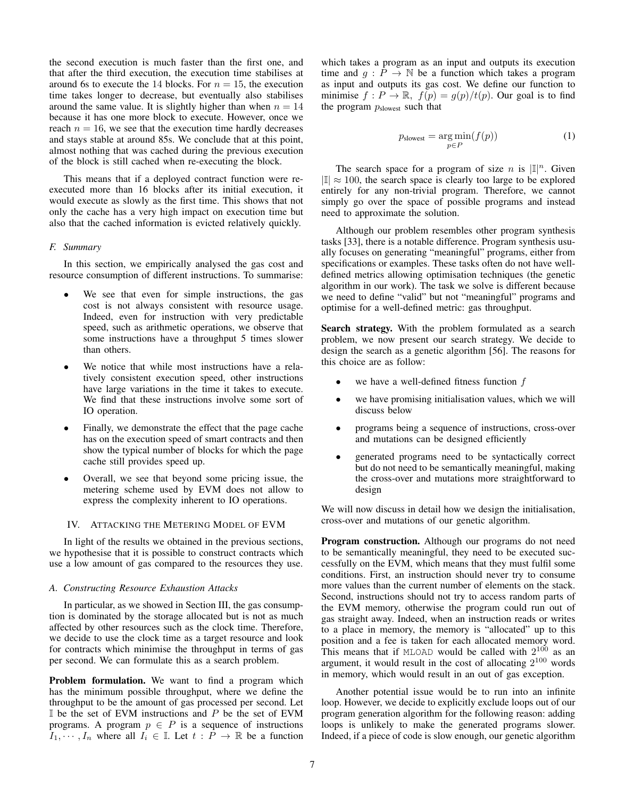the second execution is much faster than the first one, and that after the third execution, the execution time stabilises at around 6s to execute the 14 blocks. For  $n = 15$ , the execution time takes longer to decrease, but eventually also stabilises around the same value. It is slightly higher than when  $n = 14$ because it has one more block to execute. However, once we reach  $n = 16$ , we see that the execution time hardly decreases and stays stable at around 85s. We conclude that at this point, almost nothing that was cached during the previous execution of the block is still cached when re-executing the block.

This means that if a deployed contract function were reexecuted more than 16 blocks after its initial execution, it would execute as slowly as the first time. This shows that not only the cache has a very high impact on execution time but also that the cached information is evicted relatively quickly.

# *F. Summary*

In this section, we empirically analysed the gas cost and resource consumption of different instructions. To summarise:

- We see that even for simple instructions, the gas cost is not always consistent with resource usage. Indeed, even for instruction with very predictable speed, such as arithmetic operations, we observe that some instructions have a throughput 5 times slower than others.
- We notice that while most instructions have a relatively consistent execution speed, other instructions have large variations in the time it takes to execute. We find that these instructions involve some sort of IO operation.
- Finally, we demonstrate the effect that the page cache has on the execution speed of smart contracts and then show the typical number of blocks for which the page cache still provides speed up.
- Overall, we see that beyond some pricing issue, the metering scheme used by EVM does not allow to express the complexity inherent to IO operations.

## <span id="page-6-0"></span>IV. ATTACKING THE METERING MODEL OF EVM

In light of the results we obtained in the previous sections, we hypothesise that it is possible to construct contracts which use a low amount of gas compared to the resources they use.

## *A. Constructing Resource Exhaustion Attacks*

In particular, as we showed in Section [III,](#page-3-0) the gas consumption is dominated by the storage allocated but is not as much affected by other resources such as the clock time. Therefore, we decide to use the clock time as a target resource and look for contracts which minimise the throughput in terms of gas per second. We can formulate this as a search problem.

Problem formulation. We want to find a program which has the minimum possible throughput, where we define the throughput to be the amount of gas processed per second. Let  $\mathbb I$  be the set of EVM instructions and  $P$  be the set of EVM programs. A program  $p \in P$  is a sequence of instructions  $I_1, \dots, I_n$  where all  $I_i \in \mathbb{I}$ . Let  $t : \hat{P} \to \mathbb{R}$  be a function which takes a program as an input and outputs its execution time and  $g : \overline{P} \to \mathbb{N}$  be a function which takes a program as input and outputs its gas cost. We define our function to minimise  $f: P \to \mathbb{R}$ ,  $f(p) = g(p)/t(p)$ . Our goal is to find the program  $p_{\text{slowest}}$  such that

$$
p_{\text{slowest}} = \underset{p \in P}{\text{arg min}}(f(p)) \tag{1}
$$

The search space for a program of size *n* is  $\mathbb{I}^n$ . Given  $|\mathbb{I}| \approx 100$ , the search space is clearly too large to be explored entirely for any non-trivial program. Therefore, we cannot simply go over the space of possible programs and instead need to approximate the solution.

Although our problem resembles other program synthesis tasks [\[33\]](#page-13-20), there is a notable difference. Program synthesis usually focuses on generating "meaningful" programs, either from specifications or examples. These tasks often do not have welldefined metrics allowing optimisation techniques (the genetic algorithm in our work). The task we solve is different because we need to define "valid" but not "meaningful" programs and optimise for a well-defined metric: gas throughput.

Search strategy. With the problem formulated as a search problem, we now present our search strategy. We decide to design the search as a genetic algorithm [\[56\]](#page-14-7). The reasons for this choice are as follow:

- we have a well-defined fitness function  $f$
- we have promising initialisation values, which we will discuss below
- programs being a sequence of instructions, cross-over and mutations can be designed efficiently
- generated programs need to be syntactically correct but do not need to be semantically meaningful, making the cross-over and mutations more straightforward to design

We will now discuss in detail how we design the initialisation, cross-over and mutations of our genetic algorithm.

Program construction. Although our programs do not need to be semantically meaningful, they need to be executed successfully on the EVM, which means that they must fulfil some conditions. First, an instruction should never try to consume more values than the current number of elements on the stack. Second, instructions should not try to access random parts of the EVM memory, otherwise the program could run out of gas straight away. Indeed, when an instruction reads or writes to a place in memory, the memory is "allocated" up to this position and a fee is taken for each allocated memory word. This means that if MLOAD would be called with  $2^{100}$  as an argument, it would result in the cost of allocating  $2^{100}$  words in memory, which would result in an out of gas exception.

Another potential issue would be to run into an infinite loop. However, we decide to explicitly exclude loops out of our program generation algorithm for the following reason: adding loops is unlikely to make the generated programs slower. Indeed, if a piece of code is slow enough, our genetic algorithm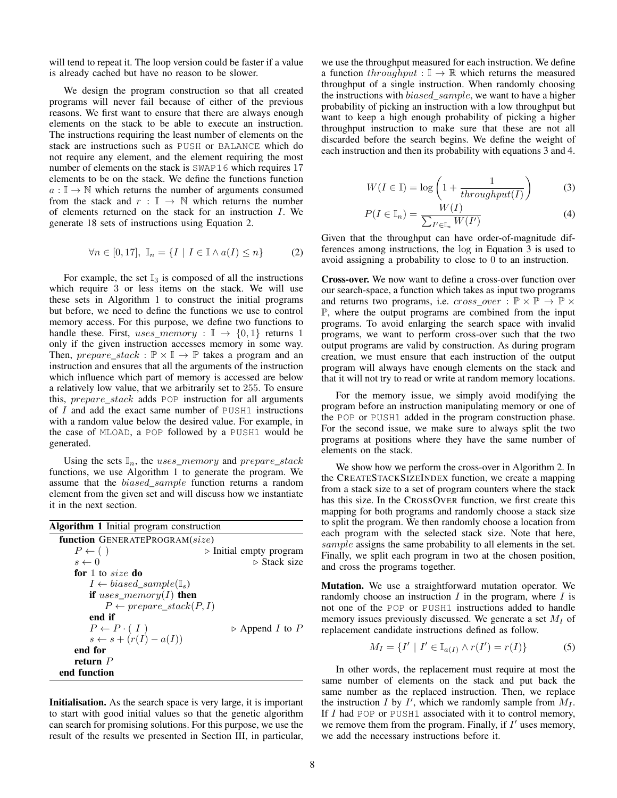will tend to repeat it. The loop version could be faster if a value is already cached but have no reason to be slower.

We design the program construction so that all created programs will never fail because of either of the previous reasons. We first want to ensure that there are always enough elements on the stack to be able to execute an instruction. The instructions requiring the least number of elements on the stack are instructions such as PUSH or BALANCE which do not require any element, and the element requiring the most number of elements on the stack is SWAP16 which requires 17 elements to be on the stack. We define the functions function  $a: \mathbb{I} \to \mathbb{N}$  which returns the number of arguments consumed from the stack and  $r : \mathbb{I} \to \mathbb{N}$  which returns the number of elements returned on the stack for an instruction I. We generate 18 sets of instructions using Equation [2.](#page-7-0)

<span id="page-7-0"></span>
$$
\forall n \in [0, 17], \mathbb{I}_n = \{I \mid I \in \mathbb{I} \land a(I) \le n\}
$$
 (2)

For example, the set  $\mathbb{I}_3$  is composed of all the instructions which require 3 or less items on the stack. We will use these sets in Algorithm [1](#page-7-1) to construct the initial programs but before, we need to define the functions we use to control memory access. For this purpose, we define two functions to handle these. First, uses\_memory :  $\mathbb{I} \rightarrow \{0,1\}$  returns 1 only if the given instruction accesses memory in some way. Then,  $prepare\_stack : \mathbb{P} \times \mathbb{I} \to \mathbb{P}$  takes a program and an instruction and ensures that all the arguments of the instruction which influence which part of memory is accessed are below a relatively low value, that we arbitrarily set to 255. To ensure this, prepare\_stack adds POP instruction for all arguments of  $I$  and add the exact same number of PUSH1 instructions with a random value below the desired value. For example, in the case of MLOAD, a POP followed by a PUSH1 would be generated.

Using the sets  $\mathbb{I}_n$ , the uses\_memory and prepare\_stack functions, we use Algorithm [1](#page-7-1) to generate the program. We assume that the *biased\_sample* function returns a random element from the given set and will discuss how we instantiate it in the next section.

<span id="page-7-1"></span>

| <b>Algorithm 1</b> Initial program construction |                                        |
|-------------------------------------------------|----------------------------------------|
| function GENERATEPROGRAM(size)                  |                                        |
| $P \leftarrow ($ )                              | $\triangleright$ Initial empty program |
| $s \leftarrow 0$                                | $\triangleright$ Stack size            |
| for 1 to size do                                |                                        |
| $I \leftarrow biased\_sample(\mathbb{I}_{s})$   |                                        |
| if uses_memory(I) then                          |                                        |
| $P \leftarrow prepare\_stack(P, I)$             |                                        |
| end if                                          |                                        |
| $P \leftarrow P \cdot (I)$                      | $\triangleright$ Append I to P         |
| $s \leftarrow s + (r(I) - a(I))$                |                                        |
| end for                                         |                                        |
| return $P$                                      |                                        |
| end function                                    |                                        |

Initialisation. As the search space is very large, it is important to start with good initial values so that the genetic algorithm can search for promising solutions. For this purpose, we use the result of the results we presented in Section [III,](#page-3-0) in particular, we use the throughput measured for each instruction. We define a function  $throughput : \mathbb{I} \rightarrow \mathbb{R}$  which returns the measured throughput of a single instruction. When randomly choosing the instructions with biased\_sample, we want to have a higher probability of picking an instruction with a low throughput but want to keep a high enough probability of picking a higher throughput instruction to make sure that these are not all discarded before the search begins. We define the weight of each instruction and then its probability with equations [3](#page-7-2) and [4.](#page-7-3)

<span id="page-7-2"></span>
$$
W(I \in \mathbb{I}) = \log\left(1 + \frac{1}{throughput(I)}\right) \tag{3}
$$

<span id="page-7-3"></span>
$$
P(I \in \mathbb{I}_n) = \frac{W(I)}{\sum_{I' \in \mathbb{I}_n} W(I')} \tag{4}
$$

Given that the throughput can have order-of-magnitude differences among instructions, the log in Equation [3](#page-7-2) is used to avoid assigning a probability to close to 0 to an instruction.

Cross-over. We now want to define a cross-over function over our search-space, a function which takes as input two programs and returns two programs, i.e.  $cross\_over : \mathbb{P} \times \mathbb{P} \to \mathbb{P} \times$ P, where the output programs are combined from the input programs. To avoid enlarging the search space with invalid programs, we want to perform cross-over such that the two output programs are valid by construction. As during program creation, we must ensure that each instruction of the output program will always have enough elements on the stack and that it will not try to read or write at random memory locations.

For the memory issue, we simply avoid modifying the program before an instruction manipulating memory or one of the POP or PUSH1 added in the program construction phase. For the second issue, we make sure to always split the two programs at positions where they have the same number of elements on the stack.

We show how we perform the cross-over in Algorithm [2.](#page-8-0) In the CREATESTACKSIZEINDEX function, we create a mapping from a stack size to a set of program counters where the stack has this size. In the CROSSOVER function, we first create this mapping for both programs and randomly choose a stack size to split the program. We then randomly choose a location from each program with the selected stack size. Note that here, sample assigns the same probability to all elements in the set. Finally, we split each program in two at the chosen position, and cross the programs together.

Mutation. We use a straightforward mutation operator. We randomly choose an instruction  $I$  in the program, where  $I$  is not one of the POP or PUSH1 instructions added to handle memory issues previously discussed. We generate a set  $M_I$  of replacement candidate instructions defined as follow.

$$
M_I = \{I' \mid I' \in \mathbb{I}_{a(I)} \land r(I') = r(I)\}
$$
 (5)

In other words, the replacement must require at most the same number of elements on the stack and put back the same number as the replaced instruction. Then, we replace the instruction I by I', which we randomly sample from  $M_I$ . If  $I$  had POP or PUSH1 associated with it to control memory, we remove them from the program. Finally, if  $I'$  uses memory, we add the necessary instructions before it.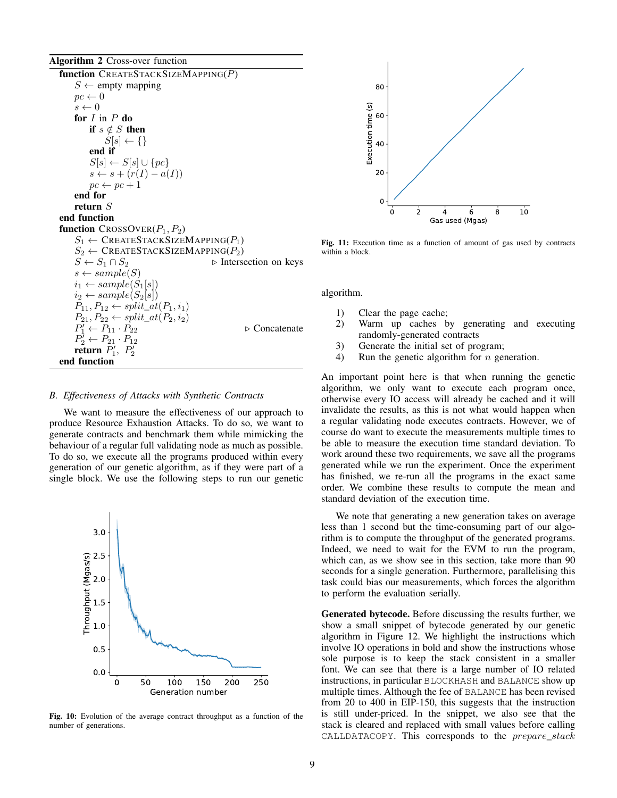<span id="page-8-0"></span>Algorithm 2 Cross-over function

function CREATESTACKSIZEMAPPING(P)  $S \leftarrow$  empty mapping  $pc \leftarrow 0$  $s \leftarrow 0$ for  $I$  in  $P$  do if  $s \notin S$  then  $S[s] \leftarrow \{\}$ end if  $S[s] \leftarrow S[s] \cup \{pc\}$  $s \leftarrow s + (r(I) - a(I))$  $pc \leftarrow pc + 1$ end for return S end function function  $C$ ROSSOVER $(P_1, P_2)$  $S_1 \leftarrow$  CREATESTACKSIZEMAPPING( $P_1$ )  $S_2 \leftarrow$ CREATESTACKSIZEMAPPING( $P_2$ )<br>  $S \leftarrow S_1 \cap S_2$   $\triangleright$  Interset ⊳ Intersection on keys  $s \leftarrow sample(S)$  $i_1 \leftarrow sample(S_1[s])$  $i_2 \leftarrow sample(S_2[s])$  $P_{11}, P_{12} \leftarrow split\_at(P_1, i_1)$  $P_{21}, P_{22} \leftarrow split\_at(P_2, i_2)$  $P'_1 \leftarrow P_{11} \cdot P_{22}$   $\triangleright$  Concatenate  $P_2^7 \leftarrow P_{21} \cdot P_{12}$ return  $P'_1$ ,  $P'_2$ end function

#### *B. Effectiveness of Attacks with Synthetic Contracts*

We want to measure the effectiveness of our approach to produce Resource Exhaustion Attacks. To do so, we want to generate contracts and benchmark them while mimicking the behaviour of a regular full validating node as much as possible. To do so, we execute all the programs produced within every generation of our genetic algorithm, as if they were part of a single block. We use the following steps to run our genetic

<span id="page-8-1"></span>3.0 2.5 Throughput (Mgas/s) Throughput (Mgas/s) 2.0 1.5 1.0 0.5 0.0 0 50 100 150 200 250 Generation number

Fig. 10: Evolution of the average contract throughput as a function of the number of generations.

<span id="page-8-2"></span>

Fig. 11: Execution time as a function of amount of gas used by contracts within a block.

algorithm.

- 1) Clear the page cache;
- 2) Warm up caches by generating and executing randomly-generated contracts
- 3) Generate the initial set of program;
- 4) Run the genetic algorithm for n generation.

An important point here is that when running the genetic algorithm, we only want to execute each program once, otherwise every IO access will already be cached and it will invalidate the results, as this is not what would happen when a regular validating node executes contracts. However, we of course do want to execute the measurements multiple times to be able to measure the execution time standard deviation. To work around these two requirements, we save all the programs generated while we run the experiment. Once the experiment has finished, we re-run all the programs in the exact same order. We combine these results to compute the mean and standard deviation of the execution time.

We note that generating a new generation takes on average less than 1 second but the time-consuming part of our algorithm is to compute the throughput of the generated programs. Indeed, we need to wait for the EVM to run the program, which can, as we show see in this section, take more than 90 seconds for a single generation. Furthermore, parallelising this task could bias our measurements, which forces the algorithm to perform the evaluation serially.

Generated bytecode. Before discussing the results further, we show a small snippet of bytecode generated by our genetic algorithm in Figure [12.](#page-9-0) We highlight the instructions which involve IO operations in bold and show the instructions whose sole purpose is to keep the stack consistent in a smaller font. We can see that there is a large number of IO related instructions, in particular BLOCKHASH and BALANCE show up multiple times. Although the fee of BALANCE has been revised from 20 to 400 in EIP-150, this suggests that the instruction is still under-priced. In the snippet, we also see that the stack is cleared and replaced with small values before calling CALLDATACOPY. This corresponds to the prepare\_stack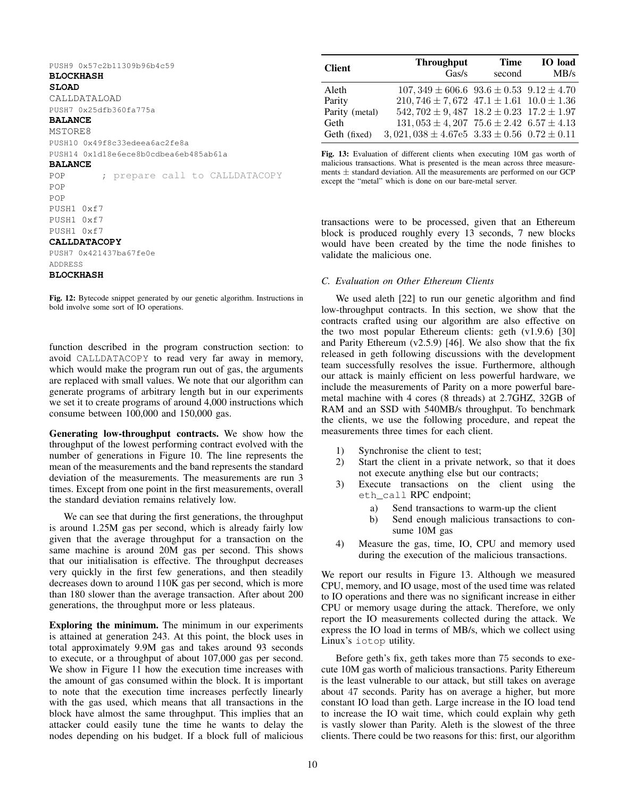<span id="page-9-0"></span>PUSH9 0x57c2b11309b96b4c59

# **BLOCKHASH**

**SLOAD**

CALLDATALOAD PUSH7 0x25dfb360fa775a

## **BALANCE**

**MSTORE8** PUSH10 0x49f8c33edeea6ac2fe8a PUSH14 0x1d18e6ece8b0cdbea6eb485ab61a

## **BALANCE**

POP ; prepare call to CALLDATACOPY POP POP PUSH1 0xf7 PUSH1 0xf7 PUSH1 0xf7 **CALLDATACOPY** PUSH7 0x421437ba67fe0e

ADDRESS

# **BLOCKHASH**

Fig. 12: Bytecode snippet generated by our genetic algorithm. Instructions in bold involve some sort of IO operations.

function described in the program construction section: to avoid CALLDATACOPY to read very far away in memory, which would make the program run out of gas, the arguments are replaced with small values. We note that our algorithm can generate programs of arbitrary length but in our experiments we set it to create programs of around 4,000 instructions which consume between 100,000 and 150,000 gas.

Generating low-throughput contracts. We show how the throughput of the lowest performing contract evolved with the number of generations in Figure [10.](#page-8-1) The line represents the mean of the measurements and the band represents the standard deviation of the measurements. The measurements are run 3 times. Except from one point in the first measurements, overall the standard deviation remains relatively low.

We can see that during the first generations, the throughput is around 1.25M gas per second, which is already fairly low given that the average throughput for a transaction on the same machine is around 20M gas per second. This shows that our initialisation is effective. The throughput decreases very quickly in the first few generations, and then steadily decreases down to around 110K gas per second, which is more than 180 slower than the average transaction. After about 200 generations, the throughput more or less plateaus.

Exploring the minimum. The minimum in our experiments is attained at generation 243. At this point, the block uses in total approximately 9.9M gas and takes around 93 seconds to execute, or a throughput of about 107,000 gas per second. We show in Figure [11](#page-8-2) how the execution time increases with the amount of gas consumed within the block. It is important to note that the execution time increases perfectly linearly with the gas used, which means that all transactions in the block have almost the same throughput. This implies that an attacker could easily tune the time he wants to delay the nodes depending on his budget. If a block full of malicious

<span id="page-9-1"></span>

| <b>Client</b>  | <b>Throughput</b><br>Gas/s                             | <b>Time</b><br>second | <b>IO</b> load<br>MB/s |
|----------------|--------------------------------------------------------|-----------------------|------------------------|
| Aleth          | $107,349 \pm 606.6$ $93.6 \pm 0.53$ $9.12 \pm 4.70$    |                       |                        |
| Parity         | $210,746 \pm 7,672$ $47.1 \pm 1.61$ $10.0 \pm 1.36$    |                       |                        |
| Parity (metal) | $542,702 \pm 9,487$ $18.2 \pm 0.23$ $17.2 \pm 1.97$    |                       |                        |
| Geth           | $131,053 \pm 4,207$ 75.6 $\pm 2.42$ 6.57 $\pm 4.13$    |                       |                        |
| Geth (fixed)   | $3,021,038 \pm 4.67e5$ $3.33 \pm 0.56$ $0.72 \pm 0.11$ |                       |                        |

Fig. 13: Evaluation of different clients when executing 10M gas worth of malicious transactions. What is presented is the mean across three measurements  $\pm$  standard deviation. All the measurements are performed on our GCP except the "metal" which is done on our bare-metal server.

transactions were to be processed, given that an Ethereum block is produced roughly every 13 seconds, 7 new blocks would have been created by the time the node finishes to validate the malicious one.

# *C. Evaluation on Other Ethereum Clients*

We used aleth [\[22\]](#page-13-11) to run our genetic algorithm and find low-throughput contracts. In this section, we show that the contracts crafted using our algorithm are also effective on the two most popular Ethereum clients: geth (v1.9.6) [\[30\]](#page-13-9) and Parity Ethereum (v2.5.9) [\[46\]](#page-14-8). We also show that the fix released in geth following discussions with the development team successfully resolves the issue. Furthermore, although our attack is mainly efficient on less powerful hardware, we include the measurements of Parity on a more powerful baremetal machine with 4 cores (8 threads) at 2.7GHZ, 32GB of RAM and an SSD with 540MB/s throughput. To benchmark the clients, we use the following procedure, and repeat the measurements three times for each client.

- 1) Synchronise the client to test;
- 2) Start the client in a private network, so that it does not execute anything else but our contracts;
- 3) Execute transactions on the client using the eth\_call RPC endpoint;
	- a) Send transactions to warm-up the client
	- b) Send enough malicious transactions to consume 10M gas
- 4) Measure the gas, time, IO, CPU and memory used during the execution of the malicious transactions.

We report our results in [Figure 13.](#page-9-1) Although we measured CPU, memory, and IO usage, most of the used time was related to IO operations and there was no significant increase in either CPU or memory usage during the attack. Therefore, we only report the IO measurements collected during the attack. We express the IO load in terms of MB/s, which we collect using Linux's iotop utility.

Before geth's fix, geth takes more than 75 seconds to execute 10M gas worth of malicious transactions. Parity Ethereum is the least vulnerable to our attack, but still takes on average about 47 seconds. Parity has on average a higher, but more constant IO load than geth. Large increase in the IO load tend to increase the IO wait time, which could explain why geth is vastly slower than Parity. Aleth is the slowest of the three clients. There could be two reasons for this: first, our algorithm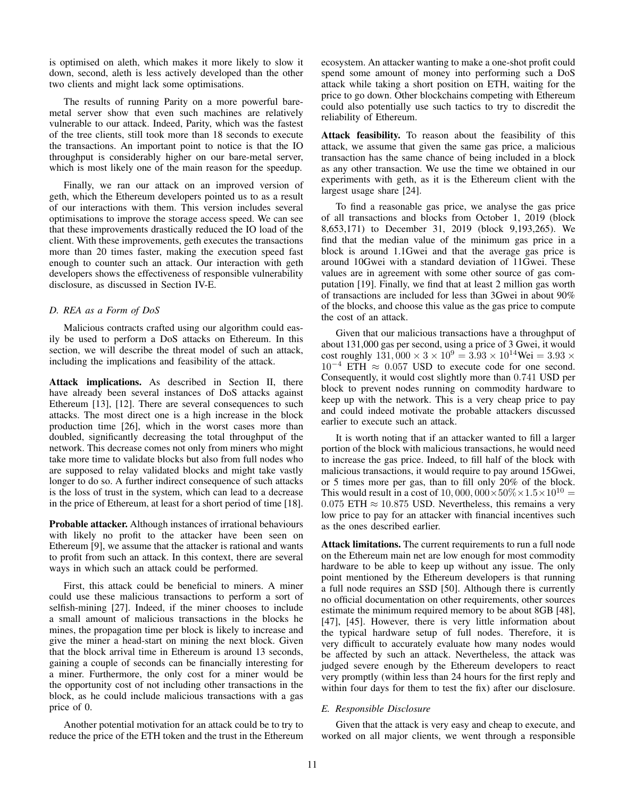is optimised on aleth, which makes it more likely to slow it down, second, aleth is less actively developed than the other two clients and might lack some optimisations.

The results of running Parity on a more powerful baremetal server show that even such machines are relatively vulnerable to our attack. Indeed, Parity, which was the fastest of the tree clients, still took more than 18 seconds to execute the transactions. An important point to notice is that the IO throughput is considerably higher on our bare-metal server, which is most likely one of the main reason for the speedup.

Finally, we ran our attack on an improved version of geth, which the Ethereum developers pointed us to as a result of our interactions with them. This version includes several optimisations to improve the storage access speed. We can see that these improvements drastically reduced the IO load of the client. With these improvements, geth executes the transactions more than 20 times faster, making the execution speed fast enough to counter such an attack. Our interaction with geth developers shows the effectiveness of responsible vulnerability disclosure, as discussed in Section [IV-E.](#page-10-0)

# *D. REA as a Form of DoS*

Malicious contracts crafted using our algorithm could easily be used to perform a DoS attacks on Ethereum. In this section, we will describe the threat model of such an attack, including the implications and feasibility of the attack.

Attack implications. As described in Section [II,](#page-1-0) there have already been several instances of DoS attacks against Ethereum [\[13\]](#page-13-0), [\[12\]](#page-13-1). There are several consequences to such attacks. The most direct one is a high increase in the block production time [\[26\]](#page-13-21), which in the worst cases more than doubled, significantly decreasing the total throughput of the network. This decrease comes not only from miners who might take more time to validate blocks but also from full nodes who are supposed to relay validated blocks and might take vastly longer to do so. A further indirect consequence of such attacks is the loss of trust in the system, which can lead to a decrease in the price of Ethereum, at least for a short period of time [\[18\]](#page-13-22).

Probable attacker. Although instances of irrational behaviours with likely no profit to the attacker have been seen on Ethereum [\[9\]](#page-13-23), we assume that the attacker is rational and wants to profit from such an attack. In this context, there are several ways in which such an attack could be performed.

First, this attack could be beneficial to miners. A miner could use these malicious transactions to perform a sort of selfish-mining [\[27\]](#page-13-24). Indeed, if the miner chooses to include a small amount of malicious transactions in the blocks he mines, the propagation time per block is likely to increase and give the miner a head-start on mining the next block. Given that the block arrival time in Ethereum is around 13 seconds, gaining a couple of seconds can be financially interesting for a miner. Furthermore, the only cost for a miner would be the opportunity cost of not including other transactions in the block, as he could include malicious transactions with a gas price of 0.

Another potential motivation for an attack could be to try to reduce the price of the ETH token and the trust in the Ethereum ecosystem. An attacker wanting to make a one-shot profit could spend some amount of money into performing such a DoS attack while taking a short position on ETH, waiting for the price to go down. Other blockchains competing with Ethereum could also potentially use such tactics to try to discredit the reliability of Ethereum.

Attack feasibility. To reason about the feasibility of this attack, we assume that given the same gas price, a malicious transaction has the same chance of being included in a block as any other transaction. We use the time we obtained in our experiments with geth, as it is the Ethereum client with the largest usage share [\[24\]](#page-13-25).

To find a reasonable gas price, we analyse the gas price of all transactions and blocks from October 1, 2019 (block 8,653,171) to December 31, 2019 (block 9,193,265). We find that the median value of the minimum gas price in a block is around 1.1Gwei and that the average gas price is around 10Gwei with a standard deviation of 11Gwei. These values are in agreement with some other source of gas computation [\[19\]](#page-13-7). Finally, we find that at least 2 million gas worth of transactions are included for less than 3Gwei in about 90% of the blocks, and choose this value as the gas price to compute the cost of an attack.

Given that our malicious transactions have a throughput of about 131,000 gas per second, using a price of 3 Gwei, it would cost roughly  $131,000 \times 3 \times 10^9 = 3.93 \times 10^{14}$ Wei =  $3.93 \times$  $10^{-4}$  ETH  $\approx 0.057$  USD to execute code for one second. Consequently, it would cost slightly more than 0.741 USD per block to prevent nodes running on commodity hardware to keep up with the network. This is a very cheap price to pay and could indeed motivate the probable attackers discussed earlier to execute such an attack.

It is worth noting that if an attacker wanted to fill a larger portion of the block with malicious transactions, he would need to increase the gas price. Indeed, to fill half of the block with malicious transactions, it would require to pay around 15Gwei, or 5 times more per gas, than to fill only 20% of the block. This would result in a cost of 10,000,000 $\times$ 50% $\times$ 1.5 $\times$ 10<sup>10</sup> = 0.075 ETH  $\approx$  10.875 USD. Nevertheless, this remains a very low price to pay for an attacker with financial incentives such as the ones described earlier.

Attack limitations. The current requirements to run a full node on the Ethereum main net are low enough for most commodity hardware to be able to keep up without any issue. The only point mentioned by the Ethereum developers is that running a full node requires an SSD [\[50\]](#page-14-9). Although there is currently no official documentation on other requirements, other sources estimate the minimum required memory to be about 8GB [\[48\]](#page-14-4), [\[47\]](#page-14-5), [\[45\]](#page-14-6). However, there is very little information about the typical hardware setup of full nodes. Therefore, it is very difficult to accurately evaluate how many nodes would be affected by such an attack. Nevertheless, the attack was judged severe enough by the Ethereum developers to react very promptly (within less than 24 hours for the first reply and within four days for them to test the fix) after our disclosure.

# <span id="page-10-0"></span>*E. Responsible Disclosure*

Given that the attack is very easy and cheap to execute, and worked on all major clients, we went through a responsible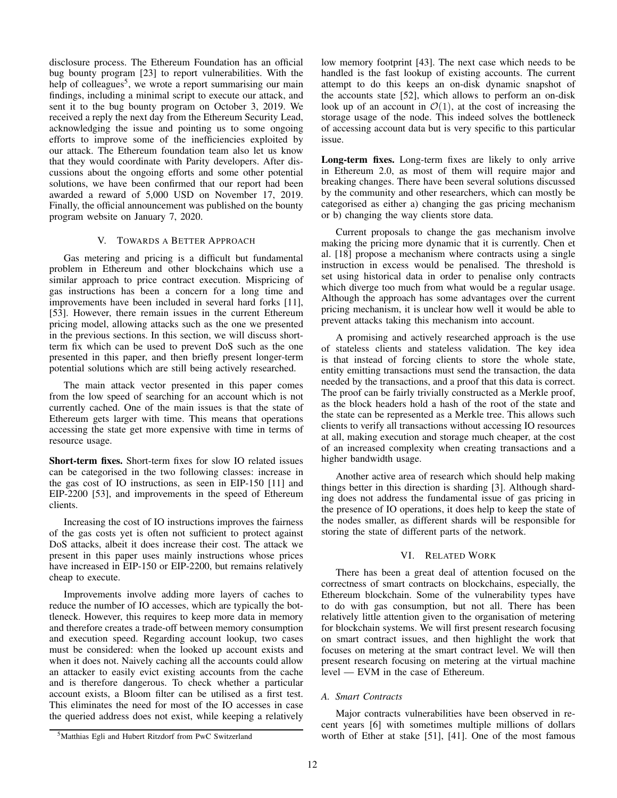disclosure process. The Ethereum Foundation has an official bug bounty program [\[23\]](#page-13-26) to report vulnerabilities. With the help of colleagues<sup>[5](#page-11-2)</sup>, we wrote a report summarising our main findings, including a minimal script to execute our attack, and sent it to the bug bounty program on October 3, 2019. We received a reply the next day from the Ethereum Security Lead, acknowledging the issue and pointing us to some ongoing efforts to improve some of the inefficiencies exploited by our attack. The Ethereum foundation team also let us know that they would coordinate with Parity developers. After discussions about the ongoing efforts and some other potential solutions, we have been confirmed that our report had been awarded a reward of 5,000 USD on November 17, 2019. Finally, the official announcement was published on the bounty program website on January 7, 2020.

# V. TOWARDS A BETTER APPROACH

<span id="page-11-0"></span>Gas metering and pricing is a difficult but fundamental problem in Ethereum and other blockchains which use a similar approach to price contract execution. Mispricing of gas instructions has been a concern for a long time and improvements have been included in several hard forks [\[11\]](#page-13-2), [\[53\]](#page-14-10). However, there remain issues in the current Ethereum pricing model, allowing attacks such as the one we presented in the previous sections. In this section, we will discuss shortterm fix which can be used to prevent DoS such as the one presented in this paper, and then briefly present longer-term potential solutions which are still being actively researched.

The main attack vector presented in this paper comes from the low speed of searching for an account which is not currently cached. One of the main issues is that the state of Ethereum gets larger with time. This means that operations accessing the state get more expensive with time in terms of resource usage.

Short-term fixes. Short-term fixes for slow IO related issues can be categorised in the two following classes: increase in the gas cost of IO instructions, as seen in EIP-150 [\[11\]](#page-13-2) and EIP-2200 [\[53\]](#page-14-10), and improvements in the speed of Ethereum clients.

Increasing the cost of IO instructions improves the fairness of the gas costs yet is often not sufficient to protect against DoS attacks, albeit it does increase their cost. The attack we present in this paper uses mainly instructions whose prices have increased in EIP-150 or EIP-2200, but remains relatively cheap to execute.

Improvements involve adding more layers of caches to reduce the number of IO accesses, which are typically the bottleneck. However, this requires to keep more data in memory and therefore creates a trade-off between memory consumption and execution speed. Regarding account lookup, two cases must be considered: when the looked up account exists and when it does not. Naively caching all the accounts could allow an attacker to easily evict existing accounts from the cache and is therefore dangerous. To check whether a particular account exists, a Bloom filter can be utilised as a first test. This eliminates the need for most of the IO accesses in case the queried address does not exist, while keeping a relatively

<span id="page-11-2"></span><sup>5</sup>Matthias Egli and Hubert Ritzdorf from PwC Switzerland

low memory footprint [\[43\]](#page-14-11). The next case which needs to be handled is the fast lookup of existing accounts. The current attempt to do this keeps an on-disk dynamic snapshot of the accounts state [\[52\]](#page-14-12), which allows to perform an on-disk look up of an account in  $\mathcal{O}(1)$ , at the cost of increasing the storage usage of the node. This indeed solves the bottleneck of accessing account data but is very specific to this particular issue.

Long-term fixes. Long-term fixes are likely to only arrive in Ethereum 2.0, as most of them will require major and breaking changes. There have been several solutions discussed by the community and other researchers, which can mostly be categorised as either a) changing the gas pricing mechanism or b) changing the way clients store data.

Current proposals to change the gas mechanism involve making the pricing more dynamic that it is currently. Chen et al. [\[18\]](#page-13-22) propose a mechanism where contracts using a single instruction in excess would be penalised. The threshold is set using historical data in order to penalise only contracts which diverge too much from what would be a regular usage. Although the approach has some advantages over the current pricing mechanism, it is unclear how well it would be able to prevent attacks taking this mechanism into account.

A promising and actively researched approach is the use of stateless clients and stateless validation. The key idea is that instead of forcing clients to store the whole state, entity emitting transactions must send the transaction, the data needed by the transactions, and a proof that this data is correct. The proof can be fairly trivially constructed as a Merkle proof, as the block headers hold a hash of the root of the state and the state can be represented as a Merkle tree. This allows such clients to verify all transactions without accessing IO resources at all, making execution and storage much cheaper, at the cost of an increased complexity when creating transactions and a higher bandwidth usage.

Another active area of research which should help making things better in this direction is sharding [\[3\]](#page-13-27). Although sharding does not address the fundamental issue of gas pricing in the presence of IO operations, it does help to keep the state of the nodes smaller, as different shards will be responsible for storing the state of different parts of the network.

# VI. RELATED WORK

<span id="page-11-1"></span>There has been a great deal of attention focused on the correctness of smart contracts on blockchains, especially, the Ethereum blockchain. Some of the vulnerability types have to do with gas consumption, but not all. There has been relatively little attention given to the organisation of metering for blockchain systems. We will first present research focusing on smart contract issues, and then highlight the work that focuses on metering at the smart contract level. We will then present research focusing on metering at the virtual machine level — EVM in the case of Ethereum.

## *A. Smart Contracts*

Major contracts vulnerabilities have been observed in recent years [\[6\]](#page-13-28) with sometimes multiple millions of dollars worth of Ether at stake [\[51\]](#page-14-13), [\[41\]](#page-13-29). One of the most famous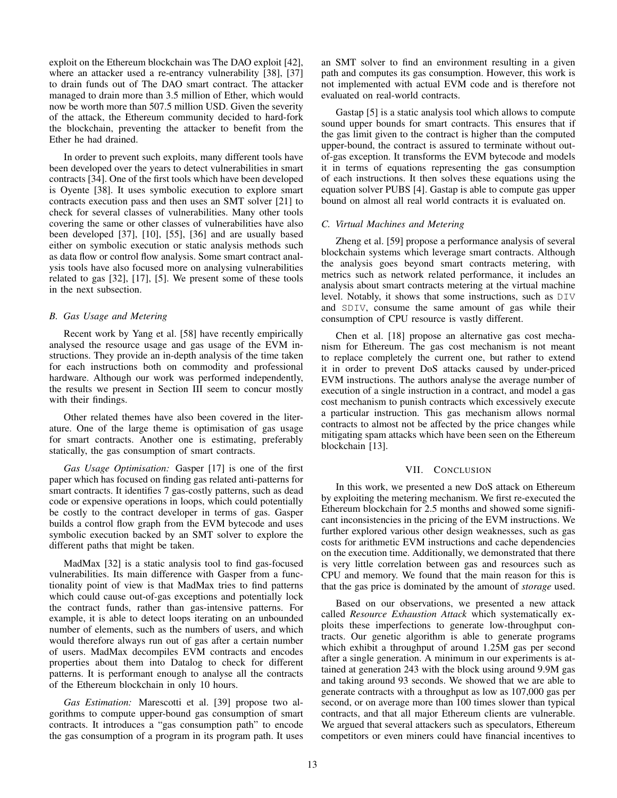exploit on the Ethereum blockchain was The DAO exploit [\[42\]](#page-13-30), where an attacker used a re-entrancy vulnerability [\[38\]](#page-13-31), [\[37\]](#page-13-32) to drain funds out of The DAO smart contract. The attacker managed to drain more than 3.5 million of Ether, which would now be worth more than 507.5 million USD. Given the severity of the attack, the Ethereum community decided to hard-fork the blockchain, preventing the attacker to benefit from the Ether he had drained.

In order to prevent such exploits, many different tools have been developed over the years to detect vulnerabilities in smart contracts [\[34\]](#page-13-33). One of the first tools which have been developed is Oyente [\[38\]](#page-13-31). It uses symbolic execution to explore smart contracts execution pass and then uses an SMT solver [\[21\]](#page-13-34) to check for several classes of vulnerabilities. Many other tools covering the same or other classes of vulnerabilities have also been developed [\[37\]](#page-13-32), [\[10\]](#page-13-35), [\[55\]](#page-14-14), [\[36\]](#page-13-36) and are usually based either on symbolic execution or static analysis methods such as data flow or control flow analysis. Some smart contract analysis tools have also focused more on analysing vulnerabilities related to gas [\[32\]](#page-13-37), [\[17\]](#page-13-38), [\[5\]](#page-13-39). We present some of these tools in the next subsection.

# *B. Gas Usage and Metering*

Recent work by Yang et al. [\[58\]](#page-14-15) have recently empirically analysed the resource usage and gas usage of the EVM instructions. They provide an in-depth analysis of the time taken for each instructions both on commodity and professional hardware. Although our work was performed independently, the results we present in Section [III](#page-3-0) seem to concur mostly with their findings.

Other related themes have also been covered in the literature. One of the large theme is optimisation of gas usage for smart contracts. Another one is estimating, preferably statically, the gas consumption of smart contracts.

*Gas Usage Optimisation:* Gasper [\[17\]](#page-13-38) is one of the first paper which has focused on finding gas related anti-patterns for smart contracts. It identifies 7 gas-costly patterns, such as dead code or expensive operations in loops, which could potentially be costly to the contract developer in terms of gas. Gasper builds a control flow graph from the EVM bytecode and uses symbolic execution backed by an SMT solver to explore the different paths that might be taken.

MadMax [\[32\]](#page-13-37) is a static analysis tool to find gas-focused vulnerabilities. Its main difference with Gasper from a functionality point of view is that MadMax tries to find patterns which could cause out-of-gas exceptions and potentially lock the contract funds, rather than gas-intensive patterns. For example, it is able to detect loops iterating on an unbounded number of elements, such as the numbers of users, and which would therefore always run out of gas after a certain number of users. MadMax decompiles EVM contracts and encodes properties about them into Datalog to check for different patterns. It is performant enough to analyse all the contracts of the Ethereum blockchain in only 10 hours.

*Gas Estimation:* Marescotti et al. [\[39\]](#page-13-40) propose two algorithms to compute upper-bound gas consumption of smart contracts. It introduces a "gas consumption path" to encode the gas consumption of a program in its program path. It uses an SMT solver to find an environment resulting in a given path and computes its gas consumption. However, this work is not implemented with actual EVM code and is therefore not evaluated on real-world contracts.

Gastap [\[5\]](#page-13-39) is a static analysis tool which allows to compute sound upper bounds for smart contracts. This ensures that if the gas limit given to the contract is higher than the computed upper-bound, the contract is assured to terminate without outof-gas exception. It transforms the EVM bytecode and models it in terms of equations representing the gas consumption of each instructions. It then solves these equations using the equation solver PUBS [\[4\]](#page-13-41). Gastap is able to compute gas upper bound on almost all real world contracts it is evaluated on.

# *C. Virtual Machines and Metering*

Zheng et al. [\[59\]](#page-14-16) propose a performance analysis of several blockchain systems which leverage smart contracts. Although the analysis goes beyond smart contracts metering, with metrics such as network related performance, it includes an analysis about smart contracts metering at the virtual machine level. Notably, it shows that some instructions, such as DIV and SDIV, consume the same amount of gas while their consumption of CPU resource is vastly different.

Chen et al. [\[18\]](#page-13-22) propose an alternative gas cost mechanism for Ethereum. The gas cost mechanism is not meant to replace completely the current one, but rather to extend it in order to prevent DoS attacks caused by under-priced EVM instructions. The authors analyse the average number of execution of a single instruction in a contract, and model a gas cost mechanism to punish contracts which excessively execute a particular instruction. This gas mechanism allows normal contracts to almost not be affected by the price changes while mitigating spam attacks which have been seen on the Ethereum blockchain [\[13\]](#page-13-0).

# VII. CONCLUSION

<span id="page-12-0"></span>In this work, we presented a new DoS attack on Ethereum by exploiting the metering mechanism. We first re-executed the Ethereum blockchain for 2.5 months and showed some significant inconsistencies in the pricing of the EVM instructions. We further explored various other design weaknesses, such as gas costs for arithmetic EVM instructions and cache dependencies on the execution time. Additionally, we demonstrated that there is very little correlation between gas and resources such as CPU and memory. We found that the main reason for this is that the gas price is dominated by the amount of *storage* used.

Based on our observations, we presented a new attack called *Resource Exhaustion Attack* which systematically exploits these imperfections to generate low-throughput contracts. Our genetic algorithm is able to generate programs which exhibit a throughput of around 1.25M gas per second after a single generation. A minimum in our experiments is attained at generation 243 with the block using around 9.9M gas and taking around 93 seconds. We showed that we are able to generate contracts with a throughput as low as 107,000 gas per second, or on average more than 100 times slower than typical contracts, and that all major Ethereum clients are vulnerable. We argued that several attackers such as speculators, Ethereum competitors or even miners could have financial incentives to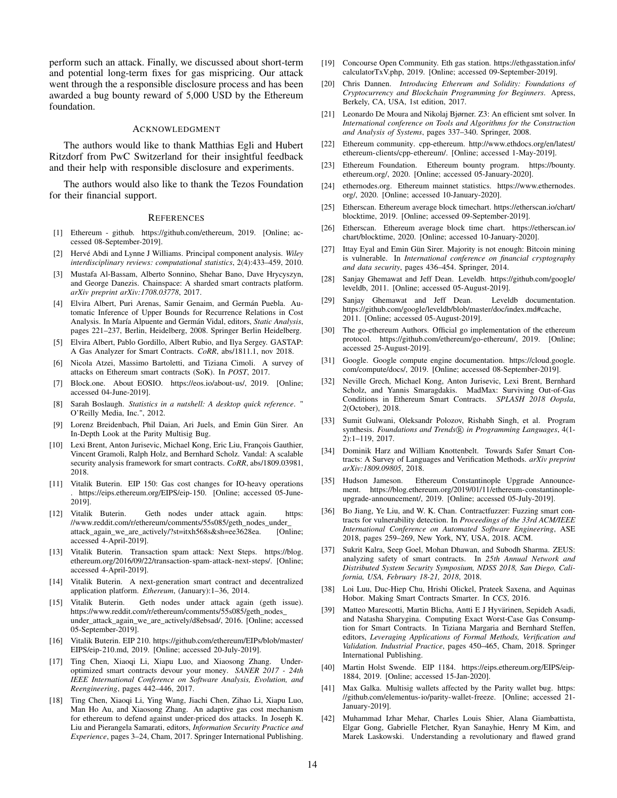perform such an attack. Finally, we discussed about short-term and potential long-term fixes for gas mispricing. Our attack went through the a responsible disclosure process and has been awarded a bug bounty reward of 5,000 USD by the Ethereum foundation.

#### ACKNOWLEDGMENT

The authors would like to thank Matthias Egli and Hubert Ritzdorf from PwC Switzerland for their insightful feedback and their help with responsible disclosure and experiments.

The authors would also like to thank the Tezos Foundation for their financial support.

#### **REFERENCES**

- <span id="page-13-13"></span>[1] Ethereum - github. [https://github.com/ethereum,](https://github.com/ethereum) 2019. [Online; accessed 08-September-2019].
- <span id="page-13-15"></span>[2] Hervé Abdi and Lynne J Williams. Principal component analysis. *Wiley interdisciplinary reviews: computational statistics*, 2(4):433–459, 2010.
- <span id="page-13-27"></span>[3] Mustafa Al-Bassam, Alberto Sonnino, Shehar Bano, Dave Hrycyszyn, and George Danezis. Chainspace: A sharded smart contracts platform. *arXiv preprint arXiv:1708.03778*, 2017.
- <span id="page-13-41"></span>[4] Elvira Albert, Puri Arenas, Samir Genaim, and Germán Puebla. Automatic Inference of Upper Bounds for Recurrence Relations in Cost Analysis. In María Alpuente and Germán Vidal, editors, *Static Analysis*, pages 221–237, Berlin, Heidelberg, 2008. Springer Berlin Heidelberg.
- <span id="page-13-39"></span>[5] Elvira Albert, Pablo Gordillo, Albert Rubio, and Ilya Sergey. GASTAP: A Gas Analyzer for Smart Contracts. *CoRR*, abs/1811.1, nov 2018.
- <span id="page-13-28"></span>[6] Nicola Atzei, Massimo Bartoletti, and Tiziana Cimoli. A survey of attacks on Ethereum smart contracts (SoK). In *POST*, 2017.
- <span id="page-13-6"></span>[7] Block.one. About EOSIO. [https://eos.io/about-us/,](https://eos.io/about-us/) 2019. [Online; accessed 04-June-2019].
- <span id="page-13-14"></span>[8] Sarah Boslaugh. *Statistics in a nutshell: A desktop quick reference*. " O'Reilly Media, Inc.", 2012.
- <span id="page-13-23"></span>[9] Lorenz Breidenbach, Phil Daian, Ari Juels, and Emin Gün Sirer. An In-Depth Look at the Parity Multisig Bug.
- <span id="page-13-35"></span>[10] Lexi Brent, Anton Jurisevic, Michael Kong, Eric Liu, François Gauthier, Vincent Gramoli, Ralph Holz, and Bernhard Scholz. Vandal: A scalable security analysis framework for smart contracts. *CoRR*, abs/1809.03981, 2018.
- <span id="page-13-2"></span>[11] Vitalik Buterin. EIP 150: Gas cost changes for IO-heavy operations . [https://eips.ethereum.org/EIPS/eip-150.](https://eips.ethereum.org/EIPS/eip-150) [Online; accessed 05-June-2019].
- <span id="page-13-1"></span>[12] Vitalik Buterin. Geth nodes under attack again. [https:](https://www.reddit.com/r/ethereum/comments/55s085/geth_nodes_under_attack_again_we_are_actively/?st=itxh568s&sh=ee3628ea) [//www.reddit.com/r/ethereum/comments/55s085/geth\\_nodes\\_under\\_](https://www.reddit.com/r/ethereum/comments/55s085/geth_nodes_under_attack_again_we_are_actively/?st=itxh568s&sh=ee3628ea) [attack\\_again\\_we\\_are\\_actively/?st=itxh568s&sh=ee3628ea.](https://www.reddit.com/r/ethereum/comments/55s085/geth_nodes_under_attack_again_we_are_actively/?st=itxh568s&sh=ee3628ea) [Online; accessed 4-April-2019].
- <span id="page-13-0"></span>[13] Vitalik Buterin. Transaction spam attack: Next Steps. [https://blog.](https://blog.ethereum.org/2016/09/22/transaction-spam-attack-next-steps/) [ethereum.org/2016/09/22/transaction-spam-attack-next-steps/.](https://blog.ethereum.org/2016/09/22/transaction-spam-attack-next-steps/) [Online; accessed 4-April-2019].
- <span id="page-13-4"></span>[14] Vitalik Buterin. A next-generation smart contract and decentralized application platform. *Ethereum*, (January):1–36, 2014.
- <span id="page-13-10"></span>[15] Vitalik Buterin. Geth nodes under attack again (geth issue). [https://www.reddit.com/r/ethereum/comments/55s085/geth\\_nodes\\_](https://www.reddit.com/r/ethereum/comments/55s085/geth_nodes_under_attack_again_we_are_actively/d8ebsad/) [under\\_attack\\_again\\_we\\_are\\_actively/d8ebsad/,](https://www.reddit.com/r/ethereum/comments/55s085/geth_nodes_under_attack_again_we_are_actively/d8ebsad/) 2016. [Online; accessed 05-September-2019].
- <span id="page-13-16"></span>[16] Vitalik Buterin. EIP 210. [https://github.com/ethereum/EIPs/blob/master/](https://github.com/ethereum/EIPs/blob/master/EIPS/eip-210.md) [EIPS/eip-210.md,](https://github.com/ethereum/EIPs/blob/master/EIPS/eip-210.md) 2019. [Online; accessed 20-July-2019].
- <span id="page-13-38"></span>[17] Ting Chen, Xiaoqi Li, Xiapu Luo, and Xiaosong Zhang. Underoptimized smart contracts devour your money. *SANER 2017 - 24th IEEE International Conference on Software Analysis, Evolution, and Reengineering*, pages 442–446, 2017.
- <span id="page-13-22"></span>[18] Ting Chen, Xiaoqi Li, Ying Wang, Jiachi Chen, Zihao Li, Xiapu Luo, Man Ho Au, and Xiaosong Zhang. An adaptive gas cost mechanism for ethereum to defend against under-priced dos attacks. In Joseph K. Liu and Pierangela Samarati, editors, *Information Security Practice and Experience*, pages 3–24, Cham, 2017. Springer International Publishing.
- <span id="page-13-7"></span>[19] Concourse Open Community. Eth gas station. [https://ethgasstation.info/](https://ethgasstation.info/calculatorTxV.php) [calculatorTxV.php,](https://ethgasstation.info/calculatorTxV.php) 2019. [Online; accessed 09-September-2019].
- <span id="page-13-5"></span>[20] Chris Dannen. *Introducing Ethereum and Solidity: Foundations of Cryptocurrency and Blockchain Programming for Beginners*. Apress, Berkely, CA, USA, 1st edition, 2017.
- <span id="page-13-34"></span>[21] Leonardo De Moura and Nikolaj Bjørner. Z3: An efficient smt solver. In *International conference on Tools and Algorithms for the Construction and Analysis of Systems*, pages 337–340. Springer, 2008.
- <span id="page-13-11"></span>[22] Ethereum community. cpp-ethereum. [http://www.ethdocs.org/en/latest/](http://www.ethdocs.org/en/latest/ethereum-clients/cpp-ethereum/) [ethereum-clients/cpp-ethereum/.](http://www.ethdocs.org/en/latest/ethereum-clients/cpp-ethereum/) [Online; accessed 1-May-2019].
- <span id="page-13-26"></span>[23] Ethereum Foundation. Ethereum bounty program. [https://bounty.](https://bounty.ethereum.org/) [ethereum.org/,](https://bounty.ethereum.org/) 2020. [Online; accessed 05-January-2020].
- <span id="page-13-25"></span>[24] ethernodes.org. Ethereum mainnet statistics. [https://www.ethernodes.](https://www.ethernodes.org/) [org/,](https://www.ethernodes.org/) 2020. [Online; accessed 10-January-2020].
- <span id="page-13-8"></span>[25] Etherscan. Ethereum average block timechart. [https://etherscan.io/chart/](https://etherscan.io/chart/blocktime) [blocktime,](https://etherscan.io/chart/blocktime) 2019. [Online; accessed 09-September-2019].
- <span id="page-13-21"></span>[26] Etherscan. Ethereum average block time chart. [https://etherscan.io/](https://etherscan.io/chart/blocktime) [chart/blocktime,](https://etherscan.io/chart/blocktime) 2020. [Online; accessed 10-January-2020].
- <span id="page-13-24"></span>[27] Ittay Eyal and Emin Gün Sirer. Majority is not enough: Bitcoin mining is vulnerable. In *International conference on financial cryptography and data security*, pages 436–454. Springer, 2014.
- <span id="page-13-19"></span>Sanjay Ghemawat and Jeff Dean. Leveldb. [https://github.com/google/](https://github.com/google/leveldb) [leveldb,](https://github.com/google/leveldb) 2011. [Online; accessed 05-August-2019].
- <span id="page-13-18"></span>[29] Sanjay Ghemawat and Jeff Dean. Leveldb documentation. [https://github.com/google/leveldb/blob/master/doc/index.md#cache,](https://github.com/google/leveldb/blob/master/doc/index.md#cache) 2011. [Online; accessed 05-August-2019].
- <span id="page-13-9"></span>[30] The go-ethereum Authors. Official go implementation of the ethereum protocol. [https://github.com/ethereum/go-ethereum/,](https://github.com/ethereum/go-ethereum/) 2019. [Online; accessed 25-August-2019].
- <span id="page-13-12"></span>[31] Google. Google compute engine documentation. [https://cloud.google.](https://cloud.google.com/compute/docs/) [com/compute/docs/,](https://cloud.google.com/compute/docs/) 2019. [Online; accessed 08-September-2019].
- <span id="page-13-37"></span>[32] Neville Grech, Michael Kong, Anton Jurisevic, Lexi Brent, Bernhard Scholz, and Yannis Smaragdakis. MadMax: Surviving Out-of-Gas Conditions in Ethereum Smart Contracts. *SPLASH 2018 Oopsla*, 2(October), 2018.
- <span id="page-13-20"></span>[33] Sumit Gulwani, Oleksandr Polozov, Rishabh Singh, et al. Program synthesis. Foundations and Trends® in Programming Languages, 4(1-2):1–119, 2017.
- <span id="page-13-33"></span>[34] Dominik Harz and William Knottenbelt. Towards Safer Smart Contracts: A Survey of Languages and Verification Methods. *arXiv preprint arXiv:1809.09805*, 2018.
- <span id="page-13-17"></span>[35] Hudson Jameson. Ethereum Constantinople Upgrade Announcement. [https://blog.ethereum.org/2019/01/11/ethereum-constantinople](https://blog.ethereum.org/2019/01/11/ethereum-constantinople-upgrade-announcement/)[upgrade-announcement/,](https://blog.ethereum.org/2019/01/11/ethereum-constantinople-upgrade-announcement/) 2019. [Online; accessed 05-July-2019].
- <span id="page-13-36"></span>[36] Bo Jiang, Ye Liu, and W. K. Chan. Contractfuzzer: Fuzzing smart contracts for vulnerability detection. In *Proceedings of the 33rd ACM/IEEE International Conference on Automated Software Engineering*, ASE 2018, pages 259–269, New York, NY, USA, 2018. ACM.
- <span id="page-13-32"></span>[37] Sukrit Kalra, Seep Goel, Mohan Dhawan, and Subodh Sharma. ZEUS: analyzing safety of smart contracts. In *25th Annual Network and Distributed System Security Symposium, NDSS 2018, San Diego, California, USA, February 18-21, 2018*, 2018.
- <span id="page-13-31"></span>[38] Loi Luu, Duc-Hiep Chu, Hrishi Olickel, Prateek Saxena, and Aquinas Hobor. Making Smart Contracts Smarter. In *CCS*, 2016.
- <span id="page-13-40"></span>[39] Matteo Marescotti, Martin Blicha, Antti E J Hyvärinen, Sepideh Asadi, and Natasha Sharygina. Computing Exact Worst-Case Gas Consumption for Smart Contracts. In Tiziana Margaria and Bernhard Steffen, editors, *Leveraging Applications of Formal Methods, Verification and Validation. Industrial Practice*, pages 450–465, Cham, 2018. Springer International Publishing.
- <span id="page-13-3"></span>[40] Martin Holst Swende. EIP 1184. [https://eips.ethereum.org/EIPS/eip-](https://eips.ethereum.org/EIPS/eip-1884)[1884,](https://eips.ethereum.org/EIPS/eip-1884) 2019. [Online; accessed 15-Jan-2020].
- <span id="page-13-29"></span>[41] Max Galka. Multisig wallets affected by the Parity wallet bug. [https:](https://github.com/elementus-io/parity-wallet-freeze) [//github.com/elementus-io/parity-wallet-freeze.](https://github.com/elementus-io/parity-wallet-freeze) [Online; accessed 21- January-2019].
- <span id="page-13-30"></span>[42] Muhammad Izhar Mehar, Charles Louis Shier, Alana Giambattista, Elgar Gong, Gabrielle Fletcher, Ryan Sanayhie, Henry M Kim, and Marek Laskowski. Understanding a revolutionary and flawed grand